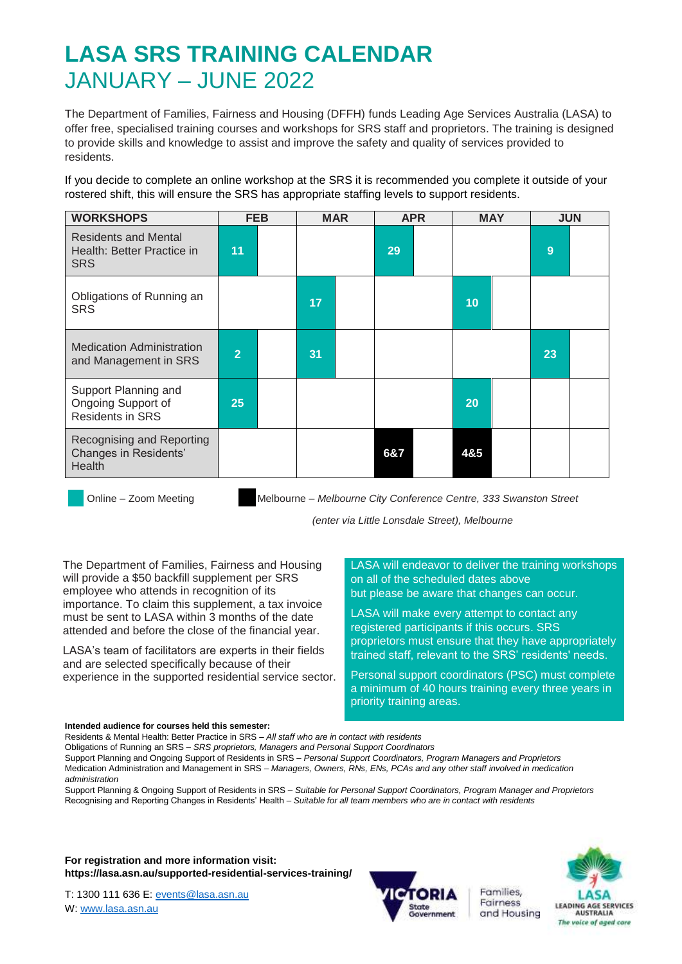## **LASA SRS TRAINING CALENDAR** JANUARY – JUNE 2022

The Department of Families, Fairness and Housing (DFFH) funds Leading Age Services Australia (LASA) to offer free, specialised training courses and workshops for SRS staff and proprietors. The training is designed to provide skills and knowledge to assist and improve the safety and quality of services provided to residents.

If you decide to complete an online workshop at the SRS it is recommended you complete it outside of your rostered shift, this will ensure the SRS has appropriate staffing levels to support residents.

| <b>WORKSHOPS</b>                                                        | <b>FEB</b>     | <b>MAR</b> |     | <b>APR</b> |     | <b>MAY</b> |    | <b>JUN</b> |
|-------------------------------------------------------------------------|----------------|------------|-----|------------|-----|------------|----|------------|
| <b>Residents and Mental</b><br>Health: Better Practice in<br><b>SRS</b> | 11             |            | 29  |            |     |            | 9  |            |
| Obligations of Running an<br><b>SRS</b>                                 |                | 17         |     |            | 10  |            |    |            |
| <b>Medication Administration</b><br>and Management in SRS               | $\overline{2}$ | 31         |     |            |     |            | 23 |            |
| Support Planning and<br>Ongoing Support of<br><b>Residents in SRS</b>   | 25             |            |     |            | 20  |            |    |            |
| Recognising and Reporting<br>Changes in Residents'<br>Health            |                |            | 6&7 |            | 4&5 |            |    |            |

Online – Zoom Meeting Melbourne – *Melbourne City Conference Centre, 333 Swanston Street* 

*(enter via Little Lonsdale Street), Melbourne* 

The Department of Families, Fairness and Housing will provide a \$50 backfill supplement per SRS employee who attends in recognition of its importance. To claim this supplement, a tax invoice must be sent to LASA within 3 months of the date attended and before the close of the financial year.

LASA's team of facilitators are experts in their fields and are selected specifically because of their experience in the supported residential service sector.

LASA will endeavor to deliver the training workshops on all of the scheduled dates above but please be aware that changes can occur.

LASA will make every attempt to contact any registered participants if this occurs. SRS proprietors must ensure that they have appropriately trained staff, relevant to the SRS' residents' needs.

Personal support coordinators (PSC) must complete a minimum of 40 hours training every three years in priority training areas.

#### **Intended audience for courses held this semester:**

Residents & Mental Health: Better Practice in SRS – *All staff who are in contact with residents*

Obligations of Running an SRS – *SRS proprietors, Managers and Personal Support Coordinators*

Support Planning and Ongoing Support of Residents in SRS – *Personal Support Coordinators, Program Managers and Proprietors*

Medication Administration and Management in SRS – *Managers, Owners, RNs, ENs, PCAs and any other staff involved in medication administration*

Support Planning & Ongoing Support of Residents in SRS – *Suitable for Personal Support Coordinators, Program Manager and Proprietors* Recognising and Reporting Changes in Residents' Health – *Suitable for all team members who are in contact with residents*

**For registration and more information visit: https://lasa.asn.au/supported-residential-services-training/**

T: 1300 111 636 E: [events@lasa.asn.au](mailto:events@lasa.asn.au) W: [www.lasa.asn.au](http://www.lasa.asn.au/)



Families, Fairness and Housing

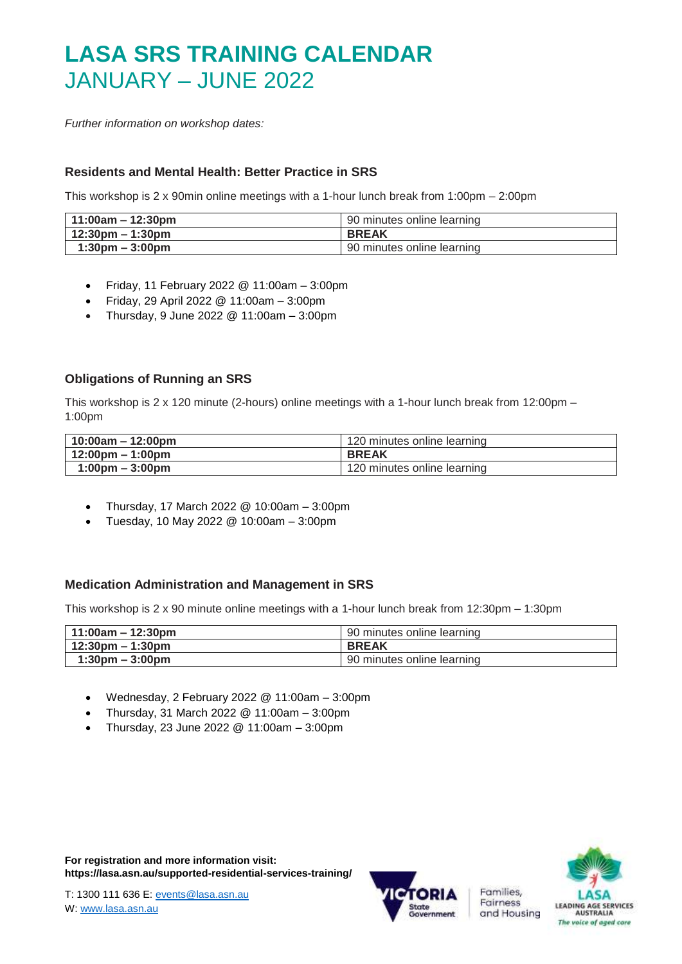# **LASA SRS TRAINING CALENDAR** JANUARY – JUNE 2022

*Further information on workshop dates:*

### **Residents and Mental Health: Better Practice in SRS**

This workshop is 2 x 90min online meetings with a 1-hour lunch break from 1:00pm – 2:00pm

| $11:00$ am – 12:30pm               | 90 minutes online learning |
|------------------------------------|----------------------------|
| $12:30 \text{pm} - 1:30 \text{pm}$ | <b>BREAK</b>               |
| $1:30 \text{pm} - 3:00 \text{pm}$  | 90 minutes online learning |

- Friday, 11 February 2022 @ 11:00am 3:00pm
- Friday, 29 April 2022 @ 11:00am  $-$  3:00pm
- Thursday, 9 June 2022 @ 11:00am 3:00pm

### **Obligations of Running an SRS**

This workshop is  $2 \times 120$  minute (2-hours) online meetings with a 1-hour lunch break from 12:00pm – 1:00pm

| 10:00am - 12:00pm                 | 120 minutes online learning |
|-----------------------------------|-----------------------------|
| 12:00pm – 1:00pm                  | <b>BREAK</b>                |
| $1:00 \text{pm} - 3:00 \text{pm}$ | 120 minutes online learning |

- Thursday, 17 March 2022 @ 10:00am 3:00pm
- Tuesday, 10 May 2022 @ 10:00am 3:00pm

#### **Medication Administration and Management in SRS**

This workshop is 2 x 90 minute online meetings with a 1-hour lunch break from 12:30pm – 1:30pm

| $11:00am - 12:30pm$                | 90 minutes online learning |
|------------------------------------|----------------------------|
| $12:30 \text{pm} - 1:30 \text{pm}$ | <b>BREAK</b>               |
| $1:30 \text{pm} - 3:00 \text{pm}$  | 90 minutes online learning |

- Wednesday, 2 February 2022 @ 11:00am 3:00pm
- Thursday, 31 March 2022  $@$  11:00am 3:00pm
- Thursday, 23 June 2022 @ 11:00am 3:00pm



Families, Fairness

and Housing